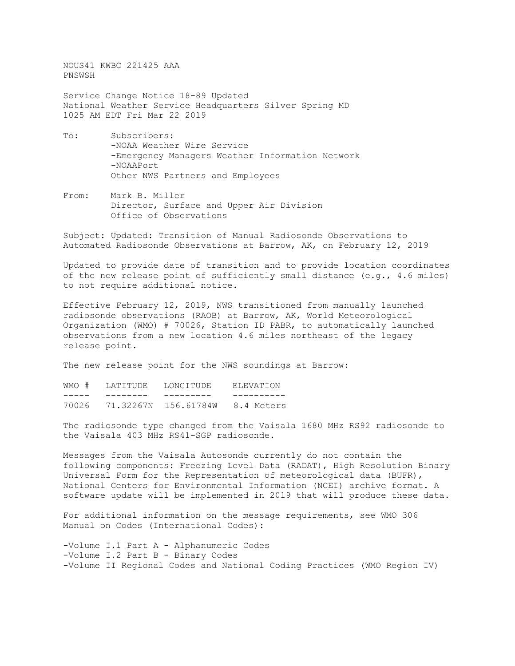NOUS41 KWBC 221425 AAA PNSWSH

Service Change Notice 18-89 Updated National Weather Service Headquarters Silver Spring MD 1025 AM EDT Fri Mar 22 2019

- To: Subscribers: -NOAA Weather Wire Service -Emergency Managers Weather Information Network -NOAAPort Other NWS Partners and Employees
- From: Mark B. Miller Director, Surface and Upper Air Division Office of Observations

Subject: Updated: Transition of Manual Radiosonde Observations to Automated Radiosonde Observations at Barrow, AK, on February 12, 2019

Updated to provide date of transition and to provide location coordinates of the new release point of sufficiently small distance (e.g., 4.6 miles) to not require additional notice.

Effective February 12, 2019, NWS transitioned from manually launched radiosonde observations (RAOB) at Barrow, AK, World Meteorological Organization (WMO) # 70026, Station ID PABR, to automatically launched observations from a new location 4.6 miles northeast of the legacy release point.

The new release point for the NWS soundings at Barrow:

WMO # LATITUDE LONGITUDE ELEVATION<br>----- ------- --------- -------------- -------- --------- ---------- 70026 71.32267N 156.61784W 8.4 Meters

The radiosonde type changed from the Vaisala 1680 MHz RS92 radiosonde to the Vaisala 403 MHz RS41-SGP radiosonde.

Messages from the Vaisala Autosonde currently do not contain the following components: Freezing Level Data (RADAT), High Resolution Binary Universal Form for the Representation of meteorological data (BUFR), National Centers for Environmental Information (NCEI) archive format. A software update will be implemented in 2019 that will produce these data.

For additional information on the message requirements, see WMO 306 Manual on Codes (International Codes):

-Volume I.1 Part A - Alphanumeric Codes -Volume I.2 Part B - Binary Codes -Volume II Regional Codes and National Coding Practices (WMO Region IV)